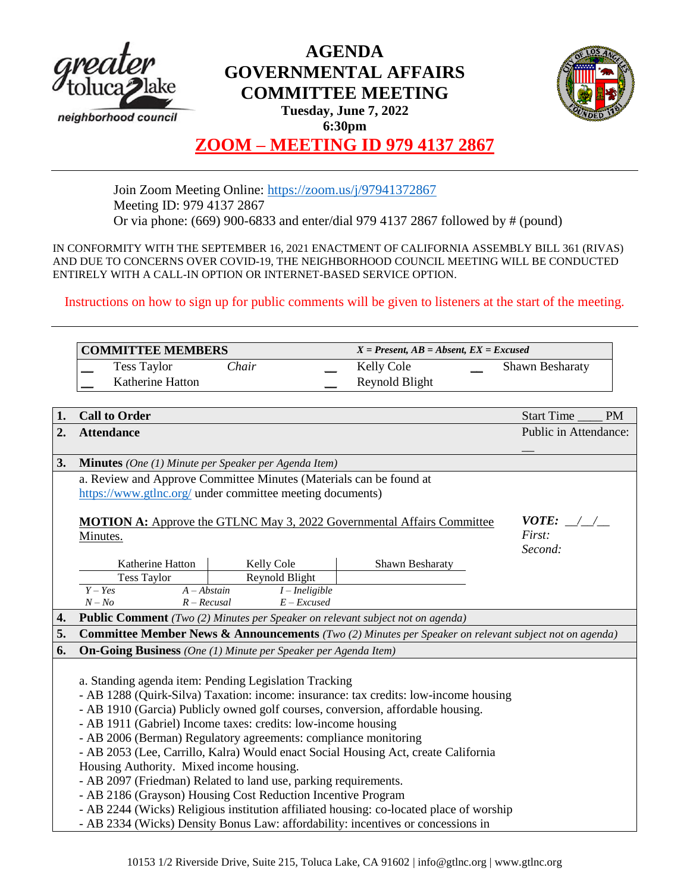

## **AGENDA GOVERNMENTAL AFFAIRS COMMITTEE MEETING**



**Tuesday, June 7, 2022 6:30pm**

## **ZOOM – MEETING ID 979 4137 2867**

Join Zoom Meeting Online:<https://zoom.us/j/97941372867> Meeting ID: 979 4137 2867 Or via phone: (669) 900-6833 and enter/dial 979 4137 2867 followed by # (pound)

IN CONFORMITY WITH THE SEPTEMBER 16, 2021 ENACTMENT OF CALIFORNIA ASSEMBLY BILL 361 (RIVAS) AND DUE TO CONCERNS OVER COVID-19, THE NEIGHBORHOOD COUNCIL MEETING WILL BE CONDUCTED ENTIRELY WITH A CALL-IN OPTION OR INTERNET-BASED SERVICE OPTION.

Instructions on how to sign up for public comments will be given to listeners at the start of the meeting.

| <b>COMMITTEE MEMBERS</b> |                  |              | $X = Present, AB = Absent, EX = Excused$ |                |  |                        |
|--------------------------|------------------|--------------|------------------------------------------|----------------|--|------------------------|
|                          | Tess Taylor      | <i>Chair</i> |                                          | Kelly Cole     |  | <b>Shawn Besharaty</b> |
|                          | Katherine Hatton |              |                                          | Reynold Blight |  |                        |

| 1. | <b>Call to Order</b>                                                                    |                       |                                                                                                       | Start Time<br><b>PM</b> |  |  |  |  |
|----|-----------------------------------------------------------------------------------------|-----------------------|-------------------------------------------------------------------------------------------------------|-------------------------|--|--|--|--|
| 2. | <b>Attendance</b>                                                                       | Public in Attendance: |                                                                                                       |                         |  |  |  |  |
|    |                                                                                         |                       |                                                                                                       |                         |  |  |  |  |
| 3. | <b>Minutes</b> (One (1) Minute per Speaker per Agenda Item)                             |                       |                                                                                                       |                         |  |  |  |  |
|    | a. Review and Approve Committee Minutes (Materials can be found at                      |                       |                                                                                                       |                         |  |  |  |  |
|    | https://www.gtlnc.org/ under committee meeting documents)                               |                       |                                                                                                       |                         |  |  |  |  |
|    |                                                                                         |                       |                                                                                                       |                         |  |  |  |  |
|    | <b>MOTION A:</b> Approve the GTLNC May 3, 2022 Governmental Affairs Committee           | <i>VOTE:</i> $\angle$ |                                                                                                       |                         |  |  |  |  |
|    | Minutes.                                                                                |                       |                                                                                                       | First:                  |  |  |  |  |
|    | Katherine Hatton                                                                        | Kelly Cole            | Shawn Besharaty                                                                                       | Second:                 |  |  |  |  |
|    | Tess Taylor                                                                             | Reynold Blight        |                                                                                                       |                         |  |  |  |  |
|    | $A - Abstain$<br>$Y - Yes$                                                              | $I$ – Ineligible      |                                                                                                       |                         |  |  |  |  |
|    | $N - No$<br>$R - Recusal$                                                               | $E$ – Excused         |                                                                                                       |                         |  |  |  |  |
| 4. | Public Comment (Two (2) Minutes per Speaker on relevant subject not on agenda)          |                       |                                                                                                       |                         |  |  |  |  |
| 5. |                                                                                         |                       | Committee Member News & Announcements (Two (2) Minutes per Speaker on relevant subject not on agenda) |                         |  |  |  |  |
| 6. | <b>On-Going Business</b> (One (1) Minute per Speaker per Agenda Item)                   |                       |                                                                                                       |                         |  |  |  |  |
|    |                                                                                         |                       |                                                                                                       |                         |  |  |  |  |
|    | a. Standing agenda item: Pending Legislation Tracking                                   |                       |                                                                                                       |                         |  |  |  |  |
|    |                                                                                         |                       | - AB 1288 (Quirk-Silva) Taxation: income: insurance: tax credits: low-income housing                  |                         |  |  |  |  |
|    | - AB 1910 (Garcia) Publicly owned golf courses, conversion, affordable housing.         |                       |                                                                                                       |                         |  |  |  |  |
|    | - AB 1911 (Gabriel) Income taxes: credits: low-income housing                           |                       |                                                                                                       |                         |  |  |  |  |
|    | - AB 2006 (Berman) Regulatory agreements: compliance monitoring                         |                       |                                                                                                       |                         |  |  |  |  |
|    | - AB 2053 (Lee, Carrillo, Kalra) Would enact Social Housing Act, create California      |                       |                                                                                                       |                         |  |  |  |  |
|    | Housing Authority. Mixed income housing.                                                |                       |                                                                                                       |                         |  |  |  |  |
|    | - AB 2097 (Friedman) Related to land use, parking requirements.                         |                       |                                                                                                       |                         |  |  |  |  |
|    | - AB 2186 (Grayson) Housing Cost Reduction Incentive Program                            |                       |                                                                                                       |                         |  |  |  |  |
|    | - AB 2244 (Wicks) Religious institution affiliated housing: co-located place of worship |                       |                                                                                                       |                         |  |  |  |  |
|    | - AB 2334 (Wicks) Density Bonus Law: affordability: incentives or concessions in        |                       |                                                                                                       |                         |  |  |  |  |